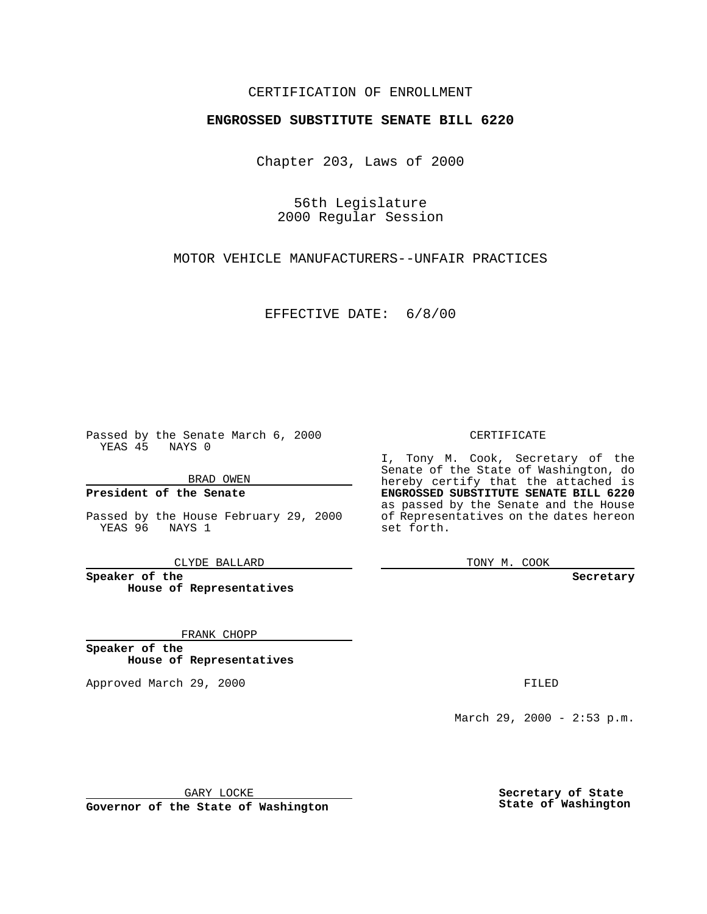### CERTIFICATION OF ENROLLMENT

# **ENGROSSED SUBSTITUTE SENATE BILL 6220**

Chapter 203, Laws of 2000

56th Legislature 2000 Regular Session

MOTOR VEHICLE MANUFACTURERS--UNFAIR PRACTICES

EFFECTIVE DATE: 6/8/00

Passed by the Senate March 6, 2000 YEAS 45 NAYS 0

BRAD OWEN

**President of the Senate**

Passed by the House February 29, 2000 YEAS 96 NAYS 1

CLYDE BALLARD

**Speaker of the House of Representatives**

FRANK CHOPP

**Speaker of the House of Representatives**

Approved March 29, 2000 FILED

#### CERTIFICATE

I, Tony M. Cook, Secretary of the Senate of the State of Washington, do hereby certify that the attached is **ENGROSSED SUBSTITUTE SENATE BILL 6220** as passed by the Senate and the House of Representatives on the dates hereon set forth.

TONY M. COOK

**Secretary**

March 29, 2000 - 2:53 p.m.

GARY LOCKE

**Governor of the State of Washington**

**Secretary of State State of Washington**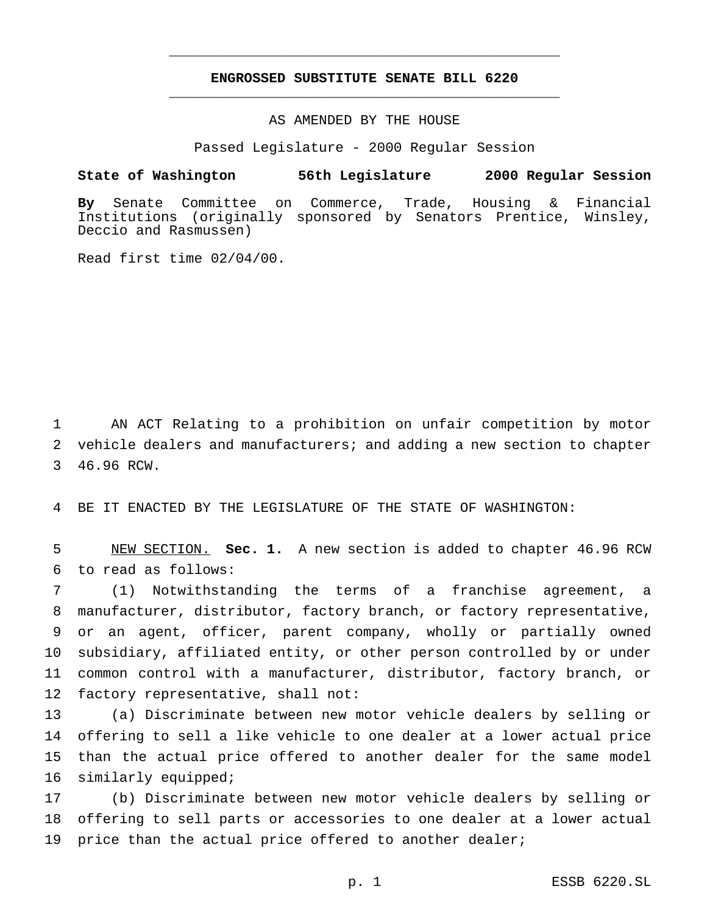## **ENGROSSED SUBSTITUTE SENATE BILL 6220** \_\_\_\_\_\_\_\_\_\_\_\_\_\_\_\_\_\_\_\_\_\_\_\_\_\_\_\_\_\_\_\_\_\_\_\_\_\_\_\_\_\_\_\_\_\_\_

\_\_\_\_\_\_\_\_\_\_\_\_\_\_\_\_\_\_\_\_\_\_\_\_\_\_\_\_\_\_\_\_\_\_\_\_\_\_\_\_\_\_\_\_\_\_\_

### AS AMENDED BY THE HOUSE

Passed Legislature - 2000 Regular Session

#### **State of Washington 56th Legislature 2000 Regular Session**

**By** Senate Committee on Commerce, Trade, Housing & Financial Institutions (originally sponsored by Senators Prentice, Winsley, Deccio and Rasmussen)

Read first time 02/04/00.

1 AN ACT Relating to a prohibition on unfair competition by motor 2 vehicle dealers and manufacturers; and adding a new section to chapter 3 46.96 RCW.

4 BE IT ENACTED BY THE LEGISLATURE OF THE STATE OF WASHINGTON:

5 NEW SECTION. **Sec. 1.** A new section is added to chapter 46.96 RCW 6 to read as follows:

 (1) Notwithstanding the terms of a franchise agreement, a manufacturer, distributor, factory branch, or factory representative, or an agent, officer, parent company, wholly or partially owned subsidiary, affiliated entity, or other person controlled by or under common control with a manufacturer, distributor, factory branch, or factory representative, shall not:

 (a) Discriminate between new motor vehicle dealers by selling or offering to sell a like vehicle to one dealer at a lower actual price than the actual price offered to another dealer for the same model similarly equipped;

17 (b) Discriminate between new motor vehicle dealers by selling or 18 offering to sell parts or accessories to one dealer at a lower actual 19 price than the actual price offered to another dealer;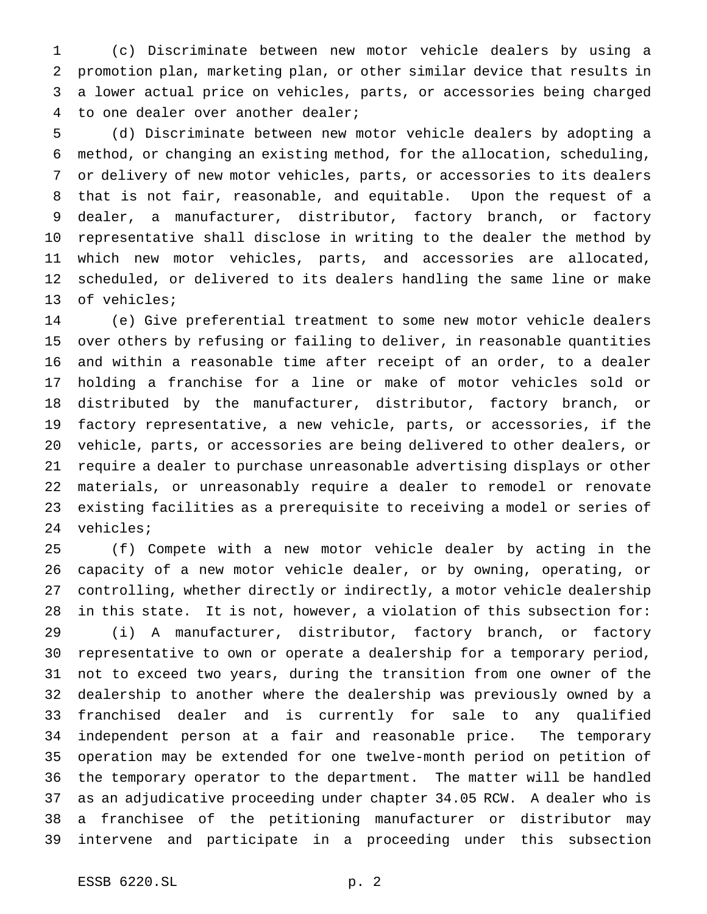(c) Discriminate between new motor vehicle dealers by using a promotion plan, marketing plan, or other similar device that results in a lower actual price on vehicles, parts, or accessories being charged to one dealer over another dealer;

 (d) Discriminate between new motor vehicle dealers by adopting a method, or changing an existing method, for the allocation, scheduling, or delivery of new motor vehicles, parts, or accessories to its dealers that is not fair, reasonable, and equitable. Upon the request of a dealer, a manufacturer, distributor, factory branch, or factory representative shall disclose in writing to the dealer the method by which new motor vehicles, parts, and accessories are allocated, scheduled, or delivered to its dealers handling the same line or make of vehicles;

 (e) Give preferential treatment to some new motor vehicle dealers over others by refusing or failing to deliver, in reasonable quantities and within a reasonable time after receipt of an order, to a dealer holding a franchise for a line or make of motor vehicles sold or distributed by the manufacturer, distributor, factory branch, or factory representative, a new vehicle, parts, or accessories, if the vehicle, parts, or accessories are being delivered to other dealers, or require a dealer to purchase unreasonable advertising displays or other materials, or unreasonably require a dealer to remodel or renovate existing facilities as a prerequisite to receiving a model or series of vehicles;

 (f) Compete with a new motor vehicle dealer by acting in the capacity of a new motor vehicle dealer, or by owning, operating, or controlling, whether directly or indirectly, a motor vehicle dealership in this state. It is not, however, a violation of this subsection for: (i) A manufacturer, distributor, factory branch, or factory representative to own or operate a dealership for a temporary period, not to exceed two years, during the transition from one owner of the dealership to another where the dealership was previously owned by a franchised dealer and is currently for sale to any qualified independent person at a fair and reasonable price. The temporary operation may be extended for one twelve-month period on petition of the temporary operator to the department. The matter will be handled as an adjudicative proceeding under chapter 34.05 RCW. A dealer who is a franchisee of the petitioning manufacturer or distributor may intervene and participate in a proceeding under this subsection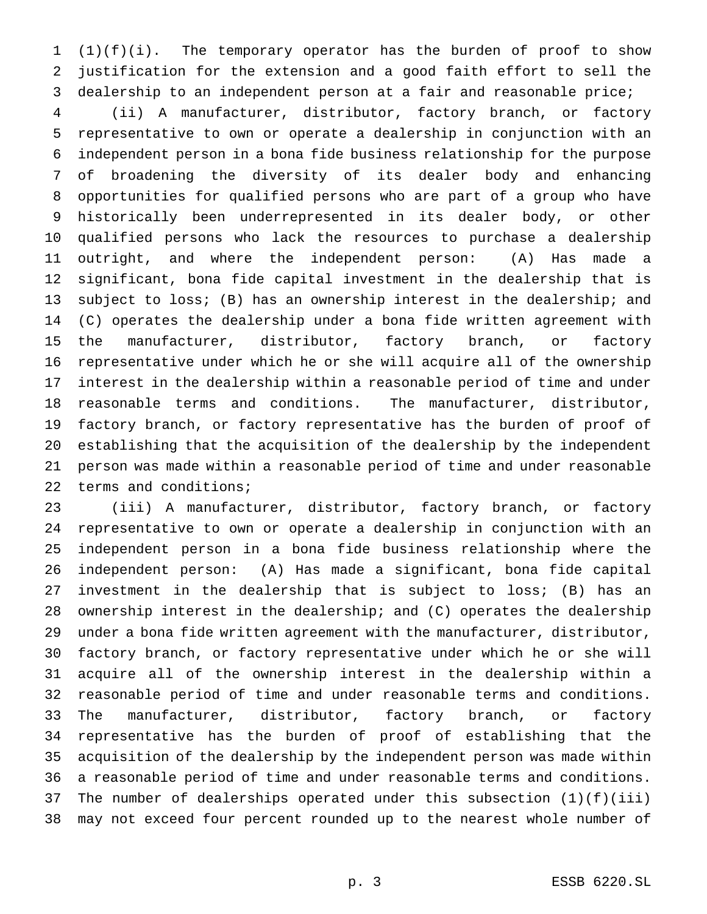(1)(f)(i). The temporary operator has the burden of proof to show justification for the extension and a good faith effort to sell the dealership to an independent person at a fair and reasonable price;

 (ii) A manufacturer, distributor, factory branch, or factory representative to own or operate a dealership in conjunction with an independent person in a bona fide business relationship for the purpose of broadening the diversity of its dealer body and enhancing opportunities for qualified persons who are part of a group who have historically been underrepresented in its dealer body, or other qualified persons who lack the resources to purchase a dealership outright, and where the independent person: (A) Has made a significant, bona fide capital investment in the dealership that is subject to loss; (B) has an ownership interest in the dealership; and (C) operates the dealership under a bona fide written agreement with the manufacturer, distributor, factory branch, or factory representative under which he or she will acquire all of the ownership interest in the dealership within a reasonable period of time and under reasonable terms and conditions. The manufacturer, distributor, factory branch, or factory representative has the burden of proof of establishing that the acquisition of the dealership by the independent person was made within a reasonable period of time and under reasonable terms and conditions;

 (iii) A manufacturer, distributor, factory branch, or factory representative to own or operate a dealership in conjunction with an independent person in a bona fide business relationship where the independent person: (A) Has made a significant, bona fide capital investment in the dealership that is subject to loss; (B) has an ownership interest in the dealership; and (C) operates the dealership under a bona fide written agreement with the manufacturer, distributor, factory branch, or factory representative under which he or she will acquire all of the ownership interest in the dealership within a reasonable period of time and under reasonable terms and conditions. The manufacturer, distributor, factory branch, or factory representative has the burden of proof of establishing that the acquisition of the dealership by the independent person was made within a reasonable period of time and under reasonable terms and conditions. The number of dealerships operated under this subsection (1)(f)(iii) may not exceed four percent rounded up to the nearest whole number of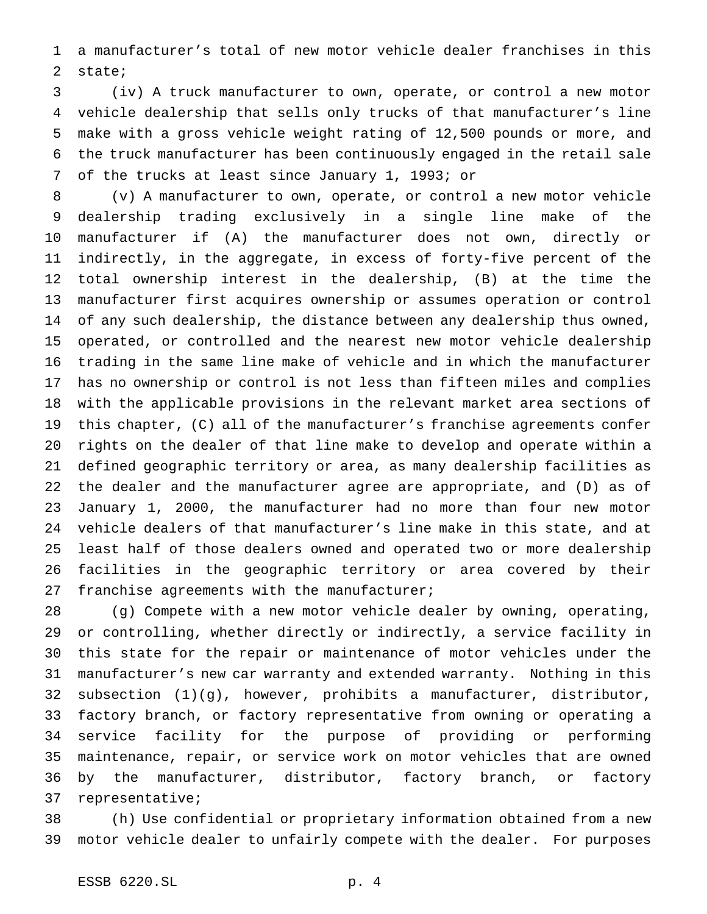a manufacturer's total of new motor vehicle dealer franchises in this state;

 (iv) A truck manufacturer to own, operate, or control a new motor vehicle dealership that sells only trucks of that manufacturer's line make with a gross vehicle weight rating of 12,500 pounds or more, and the truck manufacturer has been continuously engaged in the retail sale of the trucks at least since January 1, 1993; or

 (v) A manufacturer to own, operate, or control a new motor vehicle dealership trading exclusively in a single line make of the manufacturer if (A) the manufacturer does not own, directly or indirectly, in the aggregate, in excess of forty-five percent of the total ownership interest in the dealership, (B) at the time the manufacturer first acquires ownership or assumes operation or control of any such dealership, the distance between any dealership thus owned, operated, or controlled and the nearest new motor vehicle dealership trading in the same line make of vehicle and in which the manufacturer has no ownership or control is not less than fifteen miles and complies with the applicable provisions in the relevant market area sections of this chapter, (C) all of the manufacturer's franchise agreements confer rights on the dealer of that line make to develop and operate within a defined geographic territory or area, as many dealership facilities as the dealer and the manufacturer agree are appropriate, and (D) as of January 1, 2000, the manufacturer had no more than four new motor vehicle dealers of that manufacturer's line make in this state, and at least half of those dealers owned and operated two or more dealership facilities in the geographic territory or area covered by their 27 franchise agreements with the manufacturer;

 (g) Compete with a new motor vehicle dealer by owning, operating, or controlling, whether directly or indirectly, a service facility in this state for the repair or maintenance of motor vehicles under the manufacturer's new car warranty and extended warranty. Nothing in this subsection (1)(g), however, prohibits a manufacturer, distributor, factory branch, or factory representative from owning or operating a service facility for the purpose of providing or performing maintenance, repair, or service work on motor vehicles that are owned by the manufacturer, distributor, factory branch, or factory representative;

 (h) Use confidential or proprietary information obtained from a new motor vehicle dealer to unfairly compete with the dealer. For purposes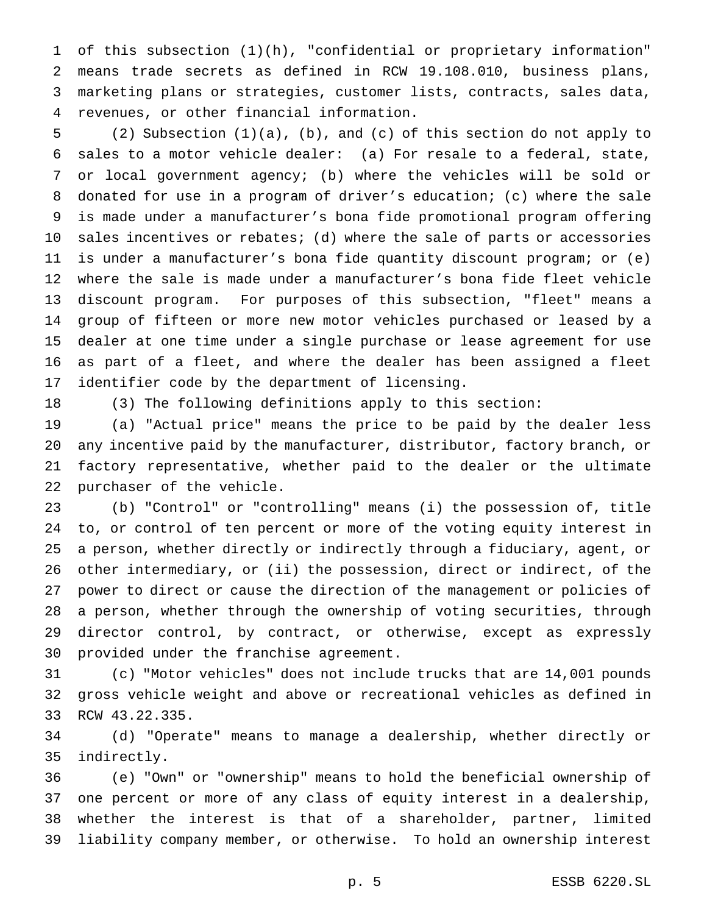of this subsection (1)(h), "confidential or proprietary information" means trade secrets as defined in RCW 19.108.010, business plans, marketing plans or strategies, customer lists, contracts, sales data, revenues, or other financial information.

 (2) Subsection (1)(a), (b), and (c) of this section do not apply to sales to a motor vehicle dealer: (a) For resale to a federal, state, or local government agency; (b) where the vehicles will be sold or donated for use in a program of driver's education; (c) where the sale is made under a manufacturer's bona fide promotional program offering sales incentives or rebates; (d) where the sale of parts or accessories is under a manufacturer's bona fide quantity discount program; or (e) where the sale is made under a manufacturer's bona fide fleet vehicle discount program. For purposes of this subsection, "fleet" means a group of fifteen or more new motor vehicles purchased or leased by a dealer at one time under a single purchase or lease agreement for use as part of a fleet, and where the dealer has been assigned a fleet identifier code by the department of licensing.

(3) The following definitions apply to this section:

 (a) "Actual price" means the price to be paid by the dealer less any incentive paid by the manufacturer, distributor, factory branch, or factory representative, whether paid to the dealer or the ultimate purchaser of the vehicle.

 (b) "Control" or "controlling" means (i) the possession of, title to, or control of ten percent or more of the voting equity interest in a person, whether directly or indirectly through a fiduciary, agent, or other intermediary, or (ii) the possession, direct or indirect, of the power to direct or cause the direction of the management or policies of a person, whether through the ownership of voting securities, through director control, by contract, or otherwise, except as expressly provided under the franchise agreement.

 (c) "Motor vehicles" does not include trucks that are 14,001 pounds gross vehicle weight and above or recreational vehicles as defined in RCW 43.22.335.

 (d) "Operate" means to manage a dealership, whether directly or indirectly.

 (e) "Own" or "ownership" means to hold the beneficial ownership of one percent or more of any class of equity interest in a dealership, whether the interest is that of a shareholder, partner, limited liability company member, or otherwise. To hold an ownership interest